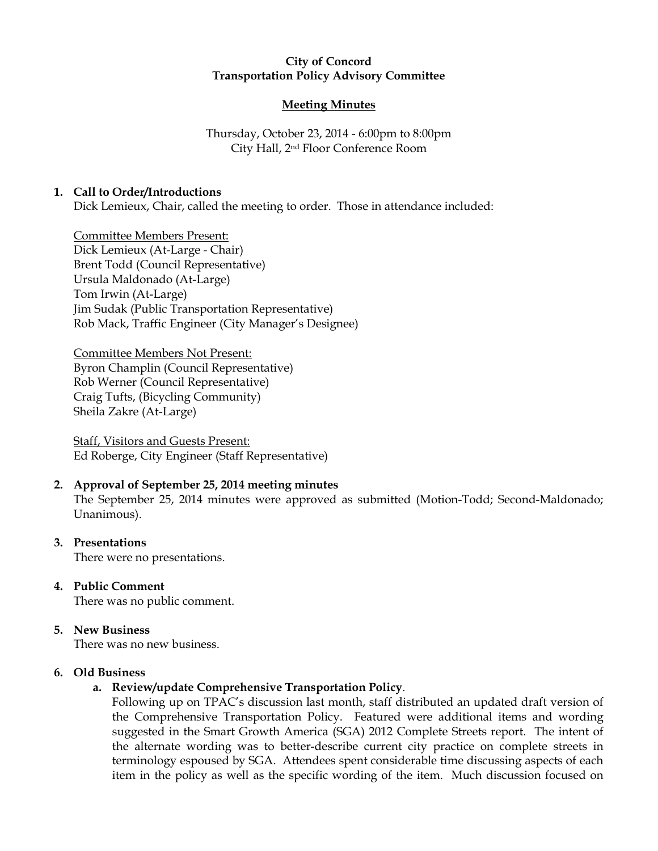### City of Concord Transportation Policy Advisory Committee

## Meeting Minutes

Thursday, October 23, 2014 - 6:00pm to 8:00pm City Hall, 2nd Floor Conference Room

## 1. Call to Order/Introductions

Dick Lemieux, Chair, called the meeting to order. Those in attendance included:

Committee Members Present: Dick Lemieux (At-Large - Chair) Brent Todd (Council Representative) Ursula Maldonado (At-Large) Tom Irwin (At-Large) Jim Sudak (Public Transportation Representative) Rob Mack, Traffic Engineer (City Manager's Designee)

Committee Members Not Present: Byron Champlin (Council Representative) Rob Werner (Council Representative) Craig Tufts, (Bicycling Community) Sheila Zakre (At-Large)

Staff, Visitors and Guests Present: Ed Roberge, City Engineer (Staff Representative)

# 2. Approval of September 25, 2014 meeting minutes

The September 25, 2014 minutes were approved as submitted (Motion-Todd; Second-Maldonado; Unanimous).

### 3. Presentations

There were no presentations.

# 4. Public Comment

There was no public comment.

### 5. New Business

There was no new business.

### 6. Old Business

# a. Review/update Comprehensive Transportation Policy.

Following up on TPAC's discussion last month, staff distributed an updated draft version of the Comprehensive Transportation Policy. Featured were additional items and wording suggested in the Smart Growth America (SGA) 2012 Complete Streets report. The intent of the alternate wording was to better-describe current city practice on complete streets in terminology espoused by SGA. Attendees spent considerable time discussing aspects of each item in the policy as well as the specific wording of the item. Much discussion focused on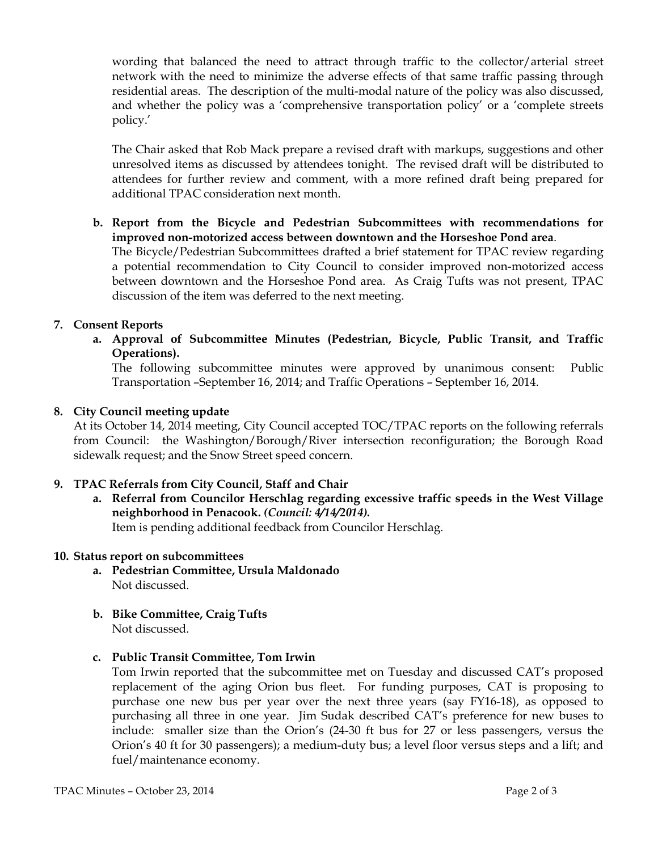wording that balanced the need to attract through traffic to the collector/arterial street network with the need to minimize the adverse effects of that same traffic passing through residential areas. The description of the multi-modal nature of the policy was also discussed, and whether the policy was a 'comprehensive transportation policy' or a 'complete streets policy.'

The Chair asked that Rob Mack prepare a revised draft with markups, suggestions and other unresolved items as discussed by attendees tonight. The revised draft will be distributed to attendees for further review and comment, with a more refined draft being prepared for additional TPAC consideration next month.

b. Report from the Bicycle and Pedestrian Subcommittees with recommendations for improved non-motorized access between downtown and the Horseshoe Pond area.

The Bicycle/Pedestrian Subcommittees drafted a brief statement for TPAC review regarding a potential recommendation to City Council to consider improved non-motorized access between downtown and the Horseshoe Pond area. As Craig Tufts was not present, TPAC discussion of the item was deferred to the next meeting.

### 7. Consent Reports

a. Approval of Subcommittee Minutes (Pedestrian, Bicycle, Public Transit, and Traffic Operations).

The following subcommittee minutes were approved by unanimous consent: Public Transportation –September 16, 2014; and Traffic Operations – September 16, 2014.

#### 8. City Council meeting update

At its October 14, 2014 meeting, City Council accepted TOC/TPAC reports on the following referrals from Council: the Washington/Borough/River intersection reconfiguration; the Borough Road sidewalk request; and the Snow Street speed concern.

### 9. TPAC Referrals from City Council, Staff and Chair

a. Referral from Councilor Herschlag regarding excessive traffic speeds in the West Village neighborhood in Penacook. (Council: 4/14/2014). Item is pending additional feedback from Councilor Herschlag.

10. Status report on subcommittees

- a. Pedestrian Committee, Ursula Maldonado Not discussed.
- b. Bike Committee, Craig Tufts Not discussed.
- c. Public Transit Committee, Tom Irwin

Tom Irwin reported that the subcommittee met on Tuesday and discussed CAT's proposed replacement of the aging Orion bus fleet. For funding purposes, CAT is proposing to purchase one new bus per year over the next three years (say FY16-18), as opposed to purchasing all three in one year. Jim Sudak described CAT's preference for new buses to include: smaller size than the Orion's (24-30 ft bus for 27 or less passengers, versus the Orion's 40 ft for 30 passengers); a medium-duty bus; a level floor versus steps and a lift; and fuel/maintenance economy.